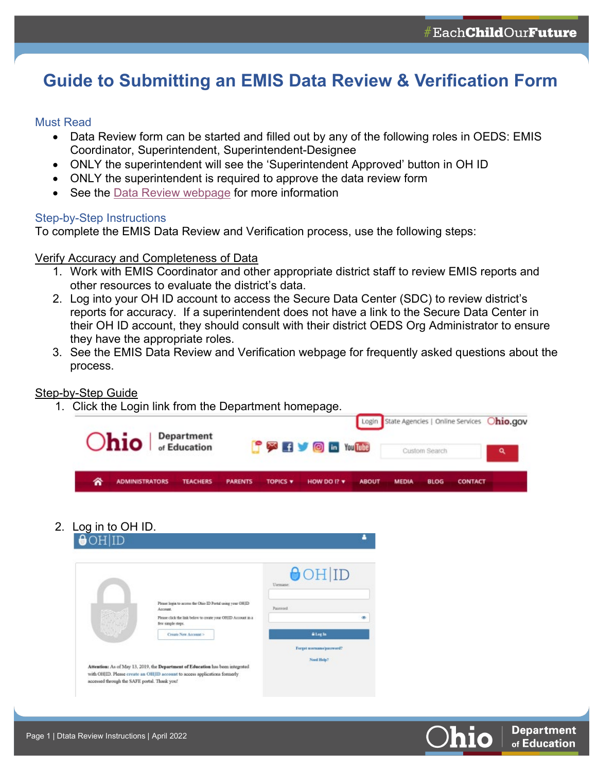# **Guide to Submitting an EMIS Data Review & Verification Form**

## Must Read

- Data Review form can be started and filled out by any of the following roles in OEDS: EMIS Coordinator, Superintendent, Superintendent-Designee
- ONLY the superintendent will see the 'Superintendent Approved' button in OH ID
- ONLY the superintendent is required to approve the data review form
- See the [Data Review](https://education.ohio.gov/Topics/Data/EMIS/Reporting-Responsibilities/EMIS-Data-Review-Verification) webpage for more information

## Step-by-Step Instructions

To complete the EMIS Data Review and Verification process, use the following steps:

## Verify Accuracy and Completeness of Data

- 1. Work with EMIS Coordinator and other appropriate district staff to review EMIS reports and other resources to evaluate the district's data.
- 2. Log into your OH ID account to access the Secure Data Center (SDC) to review district's reports for accuracy. If a superintendent does not have a link to the Secure Data Center in their OH ID account, they should consult with their district OEDS Org Administrator to ensure they have the appropriate roles.
- 3. See the EMIS Data Review and Verification webpage for frequently asked questions about the process.

## Step-by-Step Guide

1. Click the Login link from the Department homepage.



2. Log in to OH ID.

|                                                                                | $\Theta$ OH ID<br>Usemane:                                                                                                               |
|--------------------------------------------------------------------------------|------------------------------------------------------------------------------------------------------------------------------------------|
| Please login to access the Ohio ID Portal using your OHID<br>Account.          | Password                                                                                                                                 |
| few simple steps.                                                              |                                                                                                                                          |
| Create New Account >                                                           | <b>Alegin</b>                                                                                                                            |
|                                                                                | Forgot unername/pannword?                                                                                                                |
|                                                                                | Need Help?                                                                                                                               |
| Attention: As of May 13, 2019, the Department of Education has been integrated |                                                                                                                                          |
| accessed through the SAFE portal. Thank you!                                   |                                                                                                                                          |
|                                                                                | Please click the link below to create your OHID Account in a<br>with OHID. Please create an OHID account to access applications formerly |

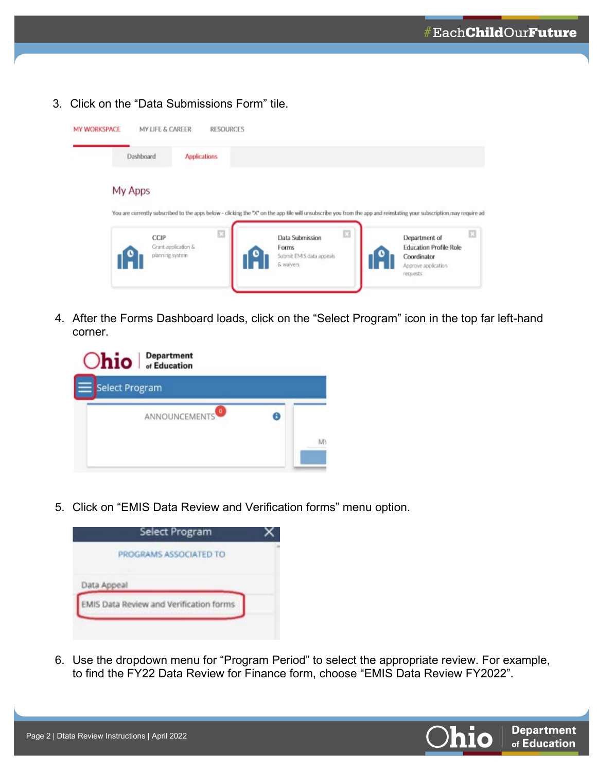3. Click on the "Data Submissions Form" tile.



4. After the Forms Dashboard loads, click on the "Select Program" icon in the top far left-hand corner.

5. Click on "EMIS Data Review and Verification forms" menu option.



6. Use the dropdown menu for "Program Period" to select the appropriate review. For example, to find the FY22 Data Review for Finance form, choose "EMIS Data Review FY2022".

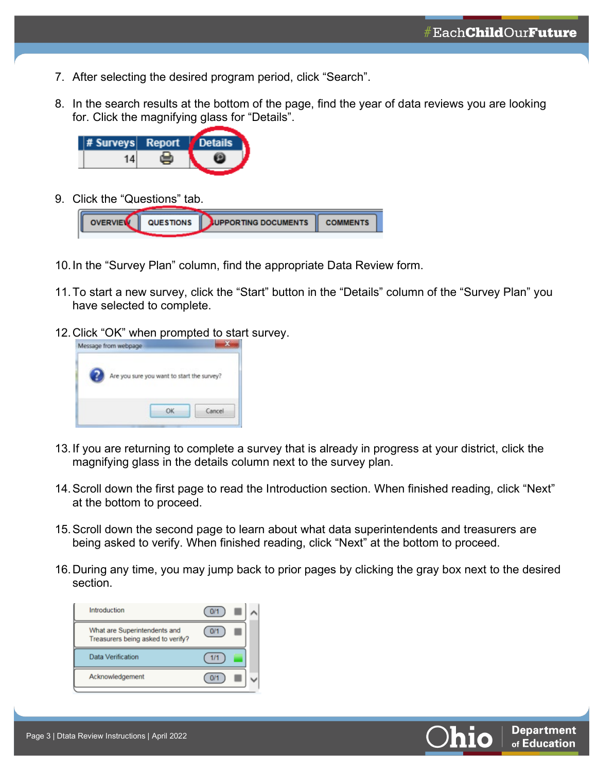- 7. After selecting the desired program period, click "Search".
- 8. In the search results at the bottom of the page, find the year of data reviews you are looking for. Click the magnifying glass for "Details".



9. Click the "Questions" tab.



- 10.In the "Survey Plan" column, find the appropriate Data Review form.
- 11.To start a new survey, click the "Start" button in the "Details" column of the "Survey Plan" you have selected to complete.
- 12.Click "OK" when prompted to start survey.



- 13.If you are returning to complete a survey that is already in progress at your district, click the magnifying glass in the details column next to the survey plan.
- 14.Scroll down the first page to read the Introduction section. When finished reading, click "Next" at the bottom to proceed.
- 15.Scroll down the second page to learn about what data superintendents and treasurers are being asked to verify. When finished reading, click "Next" at the bottom to proceed.
- 16.During any time, you may jump back to prior pages by clicking the gray box next to the desired section.



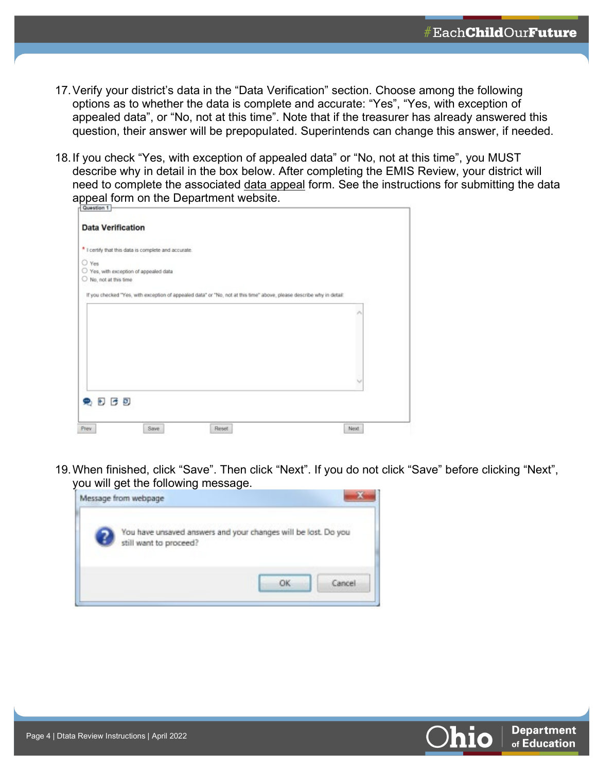- 17.Verify your district's data in the "Data Verification" section. Choose among the following options as to whether the data is complete and accurate: "Yes", "Yes, with exception of appealed data", or "No, not at this time". Note that if the treasurer has already answered this question, their answer will be prepopulated. Superintends can change this answer, if needed.
- 18.If you check "Yes, with exception of appealed data" or "No, not at this time", you MUST describe why in detail in the box below. After completing the EMIS Review, your district will need to complete the associated data appeal form. See the instructions for submitting the data appeal form on the Department website.

| Question 1                                                                                                            |      |
|-----------------------------------------------------------------------------------------------------------------------|------|
| <b>Data Verification</b>                                                                                              |      |
| * I certify that this data is complete and accurate.                                                                  |      |
| O Yes                                                                                                                 |      |
| O Yes, with exception of appealed data                                                                                |      |
| $O$ No, not at this time.                                                                                             |      |
| If you checked "Yes, with exception of appealed data" or "No, not at this time" above, please describe why in detail: |      |
|                                                                                                                       |      |
|                                                                                                                       | ۸    |
|                                                                                                                       |      |
|                                                                                                                       |      |
|                                                                                                                       |      |
|                                                                                                                       |      |
|                                                                                                                       |      |
|                                                                                                                       |      |
|                                                                                                                       |      |
| 免日日日                                                                                                                  |      |
|                                                                                                                       |      |
|                                                                                                                       |      |
| Save<br>Reset<br>Prev                                                                                                 | Next |

19.When finished, click "Save". Then click "Next". If you do not click "Save" before clicking "Next", you will get the following message.



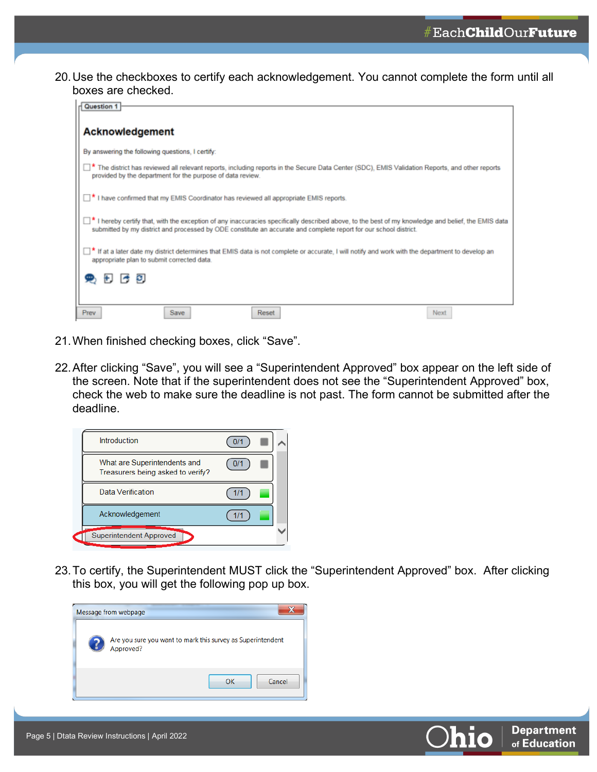20.Use the checkboxes to certify each acknowledgement. You cannot complete the form until all boxes are checked.



- 21.When finished checking boxes, click "Save".
- 22.After clicking "Save", you will see a "Superintendent Approved" box appear on the left side of the screen. Note that if the superintendent does not see the "Superintendent Approved" box, check the web to make sure the deadline is not past. The form cannot be submitted after the deadline.



23.To certify, the Superintendent MUST click the "Superintendent Approved" box. After clicking this box, you will get the following pop up box.